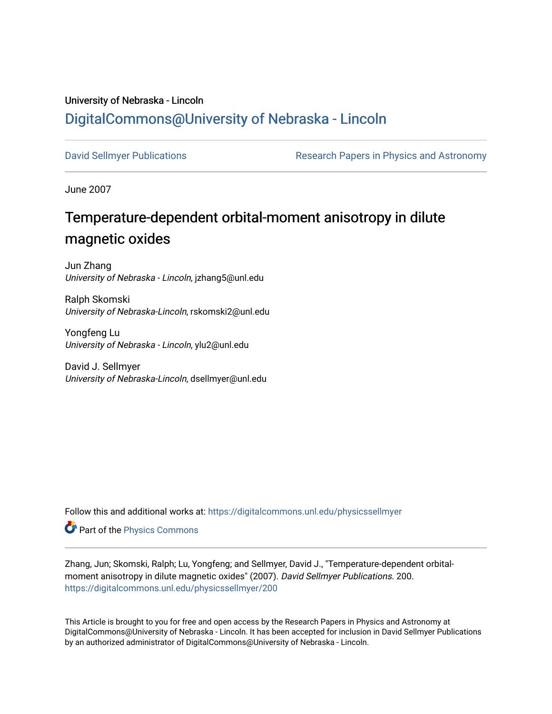# University of Nebraska - Lincoln [DigitalCommons@University of Nebraska - Lincoln](https://digitalcommons.unl.edu/)

[David Sellmyer Publications](https://digitalcommons.unl.edu/physicssellmyer) **Research Papers in Physics and Astronomy** 

June 2007

# Temperature-dependent orbital-moment anisotropy in dilute magnetic oxides

Jun Zhang University of Nebraska - Lincoln, jzhang5@unl.edu

Ralph Skomski University of Nebraska-Lincoln, rskomski2@unl.edu

Yongfeng Lu University of Nebraska - Lincoln, ylu2@unl.edu

David J. Sellmyer University of Nebraska-Lincoln, dsellmyer@unl.edu

Follow this and additional works at: [https://digitalcommons.unl.edu/physicssellmyer](https://digitalcommons.unl.edu/physicssellmyer?utm_source=digitalcommons.unl.edu%2Fphysicssellmyer%2F200&utm_medium=PDF&utm_campaign=PDFCoverPages) 

Part of the [Physics Commons](http://network.bepress.com/hgg/discipline/193?utm_source=digitalcommons.unl.edu%2Fphysicssellmyer%2F200&utm_medium=PDF&utm_campaign=PDFCoverPages)

Zhang, Jun; Skomski, Ralph; Lu, Yongfeng; and Sellmyer, David J., "Temperature-dependent orbitalmoment anisotropy in dilute magnetic oxides" (2007). David Sellmyer Publications. 200. [https://digitalcommons.unl.edu/physicssellmyer/200](https://digitalcommons.unl.edu/physicssellmyer/200?utm_source=digitalcommons.unl.edu%2Fphysicssellmyer%2F200&utm_medium=PDF&utm_campaign=PDFCoverPages) 

This Article is brought to you for free and open access by the Research Papers in Physics and Astronomy at DigitalCommons@University of Nebraska - Lincoln. It has been accepted for inclusion in David Sellmyer Publications by an authorized administrator of DigitalCommons@University of Nebraska - Lincoln.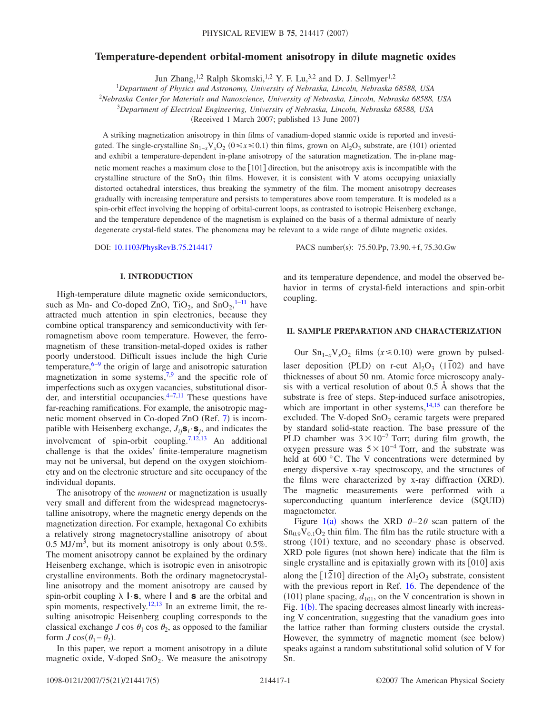## **Temperature-dependent orbital-moment anisotropy in dilute magnetic oxides**

Jun Zhang,<sup>1,2</sup> Ralph Skomski,<sup>1,2</sup> Y. F. Lu,<sup>3,2</sup> and D. J. Sellmyer<sup>1,2</sup>

1 *Department of Physics and Astronomy, University of Nebraska, Lincoln, Nebraska 68588, USA*

<sup>2</sup>*Nebraska Center for Materials and Nanoscience, University of Nebraska, Lincoln, Nebraska 68588, USA*

3 *Department of Electrical Engineering, University of Nebraska, Lincoln, Nebraska 68588, USA*

(Received 1 March 2007; published 13 June 2007)

A striking magnetization anisotropy in thin films of vanadium-doped stannic oxide is reported and investigated. The single-crystalline  $Sn_{1-x}V_xO_2$  ( $0 \le x \le 0.1$ ) thin films, grown on Al<sub>2</sub>O<sub>3</sub> substrate, are (101) oriented and exhibit a temperature-dependent in-plane anisotropy of the saturation magnetization. The in-plane magnetic moment reaches a maximum close to the 101*¯* direction, but the anisotropy axis is incompatible with the crystalline structure of the  $SnO<sub>2</sub>$  thin films. However, it is consistent with V atoms occupying uniaxially distorted octahedral interstices, thus breaking the symmetry of the film. The moment anisotropy decreases gradually with increasing temperature and persists to temperatures above room temperature. It is modeled as a spin-orbit effect involving the hopping of orbital-current loops, as contrasted to isotropic Heisenberg exchange, and the temperature dependence of the magnetism is explained on the basis of a thermal admixture of nearly degenerate crystal-field states. The phenomena may be relevant to a wide range of dilute magnetic oxides.

DOI: [10.1103/PhysRevB.75.214417](http://dx.doi.org/10.1103/PhysRevB.75.214417)

:  $75.50 \text{.}$ Pp,  $73.90 \text{.} + \text{f}$ ,  $75.30 \text{.}$ Gw

#### **I. INTRODUCTION**

High-temperature dilute magnetic oxide semiconductors, such as Mn- and Co-doped ZnO,  $TiO_2$ , and  $SnO_2$ , <sup>[1–](#page-5-0)[11](#page-5-1)</sup> have attracted much attention in spin electronics, because they combine optical transparency and semiconductivity with ferromagnetism above room temperature. However, the ferromagnetism of these transition-metal-doped oxides is rather poorly understood. Difficult issues include the high Curie temperature, $6-9$  $6-9$  the origin of large and anisotropic saturation magnetization in some systems,  $7.9$  and the specific role of imperfections such as oxygen vacancies, substitutional disorder, and interstitial occupancies. $4-7,11$  $4-7,11$  These questions have far-reaching ramifications. For example, the anisotropic mag-netic moment observed in Co-doped ZnO (Ref. [7](#page-5-4)) is incompatible with Heisenberg exchange,  $J_{ij}$ **s**<sub>*i*</sub> · **s**<sub>*j*</sub>, and indicates the involvement of spin-orbit coupling.<sup>7,[12,](#page-5-6)[13](#page-5-7)</sup> An additional challenge is that the oxides' finite-temperature magnetism may not be universal, but depend on the oxygen stoichiometry and on the electronic structure and site occupancy of the individual dopants.

The anisotropy of the *moment* or magnetization is usually very small and different from the widespread magnetocrystalline anisotropy, where the magnetic energy depends on the magnetization direction. For example, hexagonal Co exhibits a relatively strong magnetocrystalline anisotropy of about 0.5 MJ/ $\text{m}^3$ , but its moment anisotropy is only about 0.5%. The moment anisotropy cannot be explained by the ordinary Heisenberg exchange, which is isotropic even in anisotropic crystalline environments. Both the ordinary magnetocrystalline anisotropy and the moment anisotropy are caused by spin-orbit coupling  $\lambda$  **l**·**s**, where **l** and **s** are the orbital and spin moments, respectively.<sup>12[,13](#page-5-7)</sup> In an extreme limit, the resulting anisotropic Heisenberg coupling corresponds to the classical exchange *J* cos  $\theta_1$  cos  $\theta_2$ , as opposed to the familiar form  $J \cos(\theta_1 - \theta_2)$ .

In this paper, we report a moment anisotropy in a dilute magnetic oxide, V-doped  $SnO<sub>2</sub>$ . We measure the anisotropy and its temperature dependence, and model the observed behavior in terms of crystal-field interactions and spin-orbit coupling.

### **II. SAMPLE PREPARATION AND CHARACTERIZATION**

Our  $\text{Sn}_{1-x}\text{V}_x\text{O}_2$  films ( $x \le 0.10$ ) were grown by pulsedlaser deposition (PLD) on r-cut  $Al_2O_3$  (1<sup> $\overline{10}$ 2) and have</sup> thicknesses of about 50 nm. Atomic force microscopy analysis with a vertical resolution of about 0.5 Å shows that the substrate is free of steps. Step-induced surface anisotropies, which are important in other systems, $14,15$  $14,15$  can therefore be excluded. The V-doped  $SnO<sub>2</sub>$  ceramic targets were prepared by standard solid-state reaction. The base pressure of the PLD chamber was  $3 \times 10^{-7}$  Torr; during film growth, the oxygen pressure was  $5 \times 10^{-4}$  Torr, and the substrate was held at 600 °C. The V concentrations were determined by energy dispersive x-ray spectroscopy, and the structures of the films were characterized by x-ray diffraction (XRD). The magnetic measurements were performed with a superconducting quantum interference device (SQUID) magnetometer.

Figure [1](#page-2-0)(a) shows the XRD  $\theta$ -2 $\theta$  scan pattern of the  $\text{Sn}_{0.9}V_{0.1}O_2$  thin film. The film has the rutile structure with a strong (101) texture, and no secondary phase is observed. XRD pole figures (not shown here) indicate that the film is single crystalline and is epitaxially grown with its  $[010]$  axis along the  $[1210]$  direction of the  $Al_2O_3$  substrate, consistent with the previous report in Ref. [16.](#page-5-10) The dependence of the  $(101)$  plane spacing,  $d_{101}$ , on the V concentration is shown in Fig. [1](#page-2-0)(b). The spacing decreases almost linearly with increasing V concentration, suggesting that the vanadium goes into the lattice rather than forming clusters outside the crystal. However, the symmetry of magnetic moment (see below) speaks against a random substitutional solid solution of V for Sn.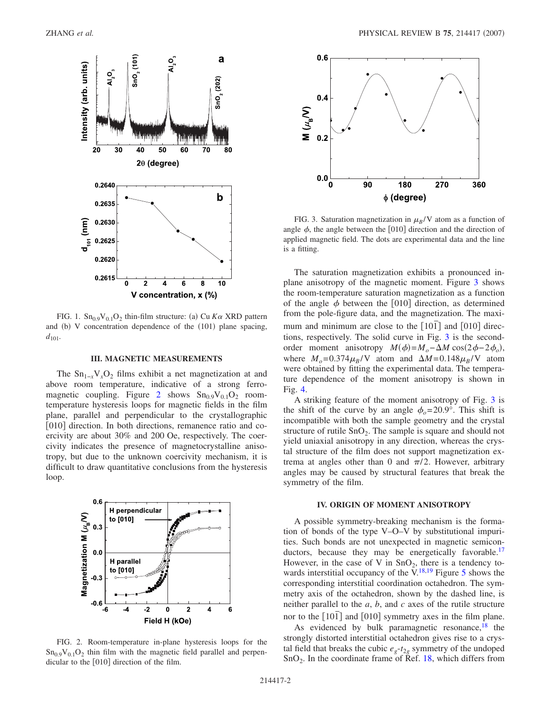<span id="page-2-0"></span>

FIG. 1.  $\text{Sn}_{0.9}\text{V}_{0.1}\text{O}_2$  thin-film structure: (a) Cu *Ka* XRD pattern and (b) V concentration dependence of the (101) plane spacing,  $d_{101}$ .

#### **III. MAGNETIC MEASUREMENTS**

The  $Sn_{1-x}V_xO_2$  films exhibit a net magnetization at and above room temperature, indicative of a strong ferro-magnetic coupling. Figure [2](#page-2-1) shows  $Sn<sub>0.9</sub>V<sub>0.1</sub>O<sub>2</sub>$  roomtemperature hysteresis loops for magnetic fields in the film plane, parallel and perpendicular to the crystallographic [010] direction. In both directions, remanence ratio and coercivity are about 30% and 200 Oe, respectively. The coercivity indicates the presence of magnetocrystalline anisotropy, but due to the unknown coercivity mechanism, it is difficult to draw quantitative conclusions from the hysteresis loop.

<span id="page-2-1"></span>

FIG. 2. Room-temperature in-plane hysteresis loops for the  $\text{Sn}_{0.9}V_{0.1}O_2$  thin film with the magnetic field parallel and perpendicular to the  $[010]$  direction of the film.

<span id="page-2-2"></span>

FIG. 3. Saturation magnetization in  $\mu_B/V$  atom as a function of angle  $\phi$ , the angle between the [010] direction and the direction of applied magnetic field. The dots are experimental data and the line is a fitting.

The saturation magnetization exhibits a pronounced inplane anisotropy of the magnetic moment. Figure [3](#page-2-2) shows the room-temperature saturation magnetization as a function of the angle  $\phi$  between the [010] direction, as determined from the pole-figure data, and the magnetization. The maximum and minimum are close to the [101] and [010] directions, respectively. The solid curve in Fig. [3](#page-2-2) is the secondorder moment anisotropy  $M(\phi) = M_o - \Delta M \cos(2\phi - 2\phi_o)$ , where  $M_o = 0.374 \mu_B/V$  atom and  $\Delta M = 0.148 \mu_B/V$  atom were obtained by fitting the experimental data. The temperature dependence of the moment anisotropy is shown in Fig. [4.](#page-3-0)

A striking feature of the moment anisotropy of Fig. [3](#page-2-2) is the shift of the curve by an angle  $\phi_0 = 20.9^\circ$ . This shift is incompatible with both the sample geometry and the crystal structure of rutile  $SnO<sub>2</sub>$ . The sample is square and should not yield uniaxial anisotropy in any direction, whereas the crystal structure of the film does not support magnetization extrema at angles other than 0 and  $\pi/2$ . However, arbitrary angles may be caused by structural features that break the symmetry of the film.

#### **IV. ORIGIN OF MOMENT ANISOTROPY**

A possible symmetry-breaking mechanism is the formation of bonds of the type V–O–V by substitutional impurities. Such bonds are not unexpected in magnetic semiconductors, because they may be energetically favorable.<sup>17</sup> However, in the case of V in  $SnO<sub>2</sub>$ , there is a tendency towards interstitial occupancy of the  $V<sup>18,19</sup>$  $V<sup>18,19</sup>$  $V<sup>18,19</sup>$  Figure [5](#page-3-1) shows the corresponding interstitial coordination octahedron. The symmetry axis of the octahedron, shown by the dashed line, is neither parallel to the *a*, *b*, and *c* axes of the rutile structure nor to the  $\lceil 101 \rceil$  and  $\lceil 010 \rceil$  symmetry axes in the film plane.

As evidenced by bulk paramagnetic resonance, $18$  the strongly distorted interstitial octahedron gives rise to a crystal field that breaks the cubic  $e_g-t_{2g}$  symmetry of the undoped  $SnO<sub>2</sub>$ . In the coordinate frame of Ref. [18,](#page-5-12) which differs from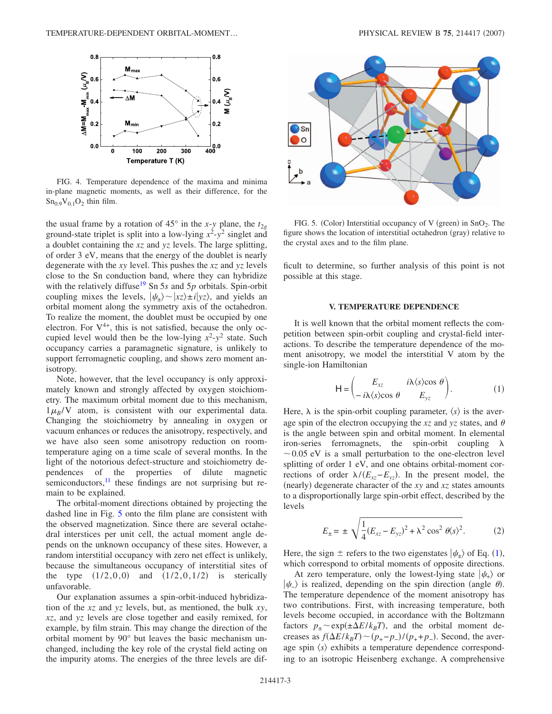<span id="page-3-0"></span>

FIG. 4. Temperature dependence of the maxima and minima in-plane magnetic moments, as well as their difference, for the  $Sn<sub>0.9</sub>V<sub>0.1</sub>O<sub>2</sub>$  thin film.

the usual frame by a rotation of 45° in the *x*-*y* plane, the  $t_{2g}$ ground-state triplet is split into a low-lying *x*<sup>2</sup> -*y*<sup>2</sup> singlet and a doublet containing the *xz* and *yz* levels. The large splitting, of order 3 eV, means that the energy of the doublet is nearly degenerate with the *xy* level. This pushes the *xz* and *yz* levels close to the Sn conduction band, where they can hybridize with the relatively diffuse<sup>19</sup> Sn 5s and 5p orbitals. Spin-orbit coupling mixes the levels,  $|\psi_{+}\rangle \sim |xz\rangle \pm i|yz\rangle$ , and yields an orbital moment along the symmetry axis of the octahedron. To realize the moment, the doublet must be occupied by one electron. For  $V^{4+}$ , this is not satisfied, because the only occupied level would then be the low-lying  $x^2-y^2$  state. Such occupancy carries a paramagnetic signature, is unlikely to support ferromagnetic coupling, and shows zero moment anisotropy.

Note, however, that the level occupancy is only approximately known and strongly affected by oxygen stoichiometry. The maximum orbital moment due to this mechanism,  $1\mu_B/V$  atom, is consistent with our experimental data. Changing the stoichiometry by annealing in oxygen or vacuum enhances or reduces the anisotropy, respectively, and we have also seen some anisotropy reduction on roomtemperature aging on a time scale of several months. In the light of the notorious defect-structure and stoichiometry dependences of the properties of dilute magnetic semiconductors, $\frac{11}{11}$  these findings are not surprising but remain to be explained.

The orbital-moment directions obtained by projecting the dashed line in Fig. [5](#page-3-1) onto the film plane are consistent with the observed magnetization. Since there are several octahedral interstices per unit cell, the actual moment angle depends on the unknown occupancy of these sites. However, a random interstitial occupancy with zero net effect is unlikely, because the simultaneous occupancy of interstitial sites of the type  $(1/2,0,0)$  and  $(1/2,0,1/2)$  is sterically unfavorable.

Our explanation assumes a spin-orbit-induced hybridization of the *xz* and *yz* levels, but, as mentioned, the bulk *xy*, *xz*, and *yz* levels are close together and easily remixed, for example, by film strain. This may change the direction of the orbital moment by 90° but leaves the basic mechanism unchanged, including the key role of the crystal field acting on the impurity atoms. The energies of the three levels are dif-

<span id="page-3-1"></span>

FIG. 5. (Color) Interstitial occupancy of V (green) in SnO<sub>2</sub>. The figure shows the location of interstitial octahedron (gray) relative to the crystal axes and to the film plane.

ficult to determine, so further analysis of this point is not possible at this stage.

#### **V. TEMPERATURE DEPENDENCE**

It is well known that the orbital moment reflects the competition between spin-orbit coupling and crystal-field interactions. To describe the temperature dependence of the moment anisotropy, we model the interstitial V atom by the single-ion Hamiltonian

$$
\mathsf{H} = \begin{pmatrix} E_{xz} & i\lambda \langle s \rangle \cos \theta \\ -i\lambda \langle s \rangle \cos \theta & E_{yz} \end{pmatrix}.
$$
 (1)

<span id="page-3-2"></span>Here,  $\lambda$  is the spin-orbit coupling parameter,  $\langle s \rangle$  is the average spin of the electron occupying the  $xz$  and  $yz$  states, and  $\theta$ is the angle between spin and orbital moment. In elemental iron-series ferromagnets, the spin-orbit coupling  $\lambda$  $\sim$  0.05 eV is a small perturbation to the one-electron level splitting of order 1 eV, and one obtains orbital-moment corrections of order  $\lambda/(E_{xz}-E_{yz})$ . In the present model, the (nearly) degenerate character of the *xy* and *xz* states amounts to a disproportionally large spin-orbit effect, described by the levels

$$
E_{\pm} = \pm \sqrt{\frac{1}{4} (E_{xz} - E_{yz})^2 + \lambda^2 \cos^2 \theta \langle s \rangle^2}.
$$
 (2)

Here, the sign  $\pm$  refers to the two eigenstates  $|\psi_{\pm}\rangle$  of Eq. ([1](#page-3-2)), which correspond to orbital moments of opposite directions.

At zero temperature, only the lowest-lying state  $|\psi_{+}\rangle$  or  $|\psi_{-}\rangle$  is realized, depending on the spin direction (angle  $\theta$ ). The temperature dependence of the moment anisotropy has two contributions. First, with increasing temperature, both levels become occupied, in accordance with the Boltzmann factors  $p_{\pm} \sim \exp(\pm \Delta E / k_B T)$ , and the orbital moment decreases as  $f(\Delta E / k_B T) \sim (p_+ - p_-) / (p_+ + p_-)$ . Second, the average spin  $\langle s \rangle$  exhibits a temperature dependence corresponding to an isotropic Heisenberg exchange. A comprehensive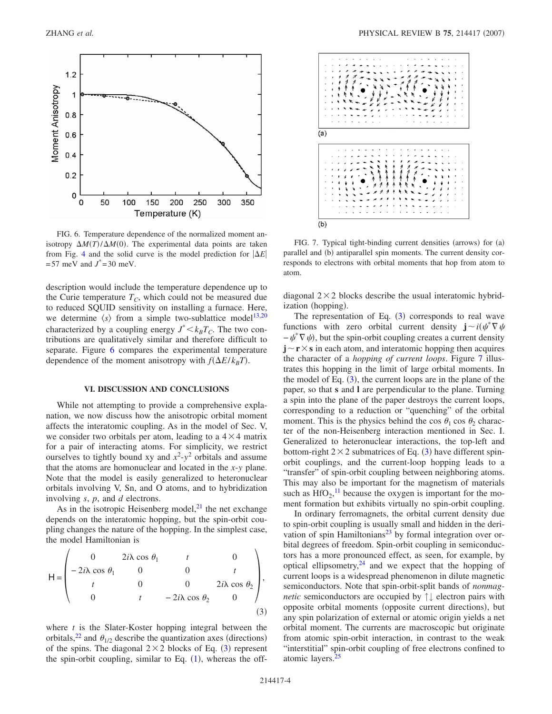<span id="page-4-0"></span>

FIG. 6. Temperature dependence of the normalized moment anisotropy  $\Delta M(T) / \Delta M(0)$ . The experimental data points are taken from Fig. [4](#page-3-0) and the solid curve is the model prediction for  $|\Delta E|$  $= 57$  meV and  $J^* = 30$  meV.

description would include the temperature dependence up to the Curie temperature  $T_C$ , which could not be measured due to reduced SQUID sensitivity on installing a furnace. Here, we determine  $\langle s \rangle$  from a simple two-sublattice model<sup>13,[20](#page-5-14)</sup> characterized by a coupling energy  $J^* < k_B T_C$ . The two contributions are qualitatively similar and therefore difficult to separate. Figure [6](#page-4-0) compares the experimental temperature dependence of the moment anisotropy with  $f(\Delta E / k_B T)$ .

#### **VI. DISCUSSION AND CONCLUSIONS**

While not attempting to provide a comprehensive explanation, we now discuss how the anisotropic orbital moment affects the interatomic coupling. As in the model of Sec. V, we consider two orbitals per atom, leading to a  $4 \times 4$  matrix for a pair of interacting atoms. For simplicity, we restrict ourselves to tightly bound xy and  $x^2-y^2$  orbitals and assume that the atoms are homonuclear and located in the *x*-*y* plane. Note that the model is easily generalized to heteronuclear orbitals involving V, Sn, and O atoms, and to hybridization involving *s*, *p*, and *d* electrons.

As in the isotropic Heisenberg model, $^{21}$  the net exchange depends on the interatomic hopping, but the spin-orbit coupling changes the nature of the hopping. In the simplest case, the model Hamiltonian is

<span id="page-4-1"></span>
$$
H = \begin{pmatrix}\n0 & 2i\lambda \cos \theta_1 & t & 0 \\
-2i\lambda \cos \theta_1 & 0 & 0 & t \\
t & 0 & 0 & 2i\lambda \cos \theta_2 \\
0 & t & -2i\lambda \cos \theta_2 & 0\n\end{pmatrix},
$$
\n(3)

where *t* is the Slater-Koster hopping integral between the orbitals,<sup>22</sup> and  $\theta_{1/2}$  describe the quantization axes (directions) of the spins. The diagonal  $2 \times 2$  blocks of Eq. ([3](#page-4-1)) represent the spin-orbit coupling, similar to Eq.  $(1)$  $(1)$  $(1)$ , whereas the off-

<span id="page-4-2"></span>

FIG. 7. Typical tight-binding current densities (arrows) for (a) parallel and (b) antiparallel spin moments. The current density corresponds to electrons with orbital moments that hop from atom to atom.

diagonal  $2 \times 2$  blocks describe the usual interatomic hybridization (hopping).

The representation of Eq.  $(3)$  $(3)$  $(3)$  corresponds to real wave functions with zero orbital current density  $\mathbf{j} \sim i(\psi^* \nabla \psi)$  $-\psi^* \nabla \psi$ , but the spin-orbit coupling creates a current density  $\mathbf{j} \sim \mathbf{r} \times \mathbf{s}$  in each atom, and interatomic hopping then acquires the character of a *hopping of current loops*. Figure [7](#page-4-2) illustrates this hopping in the limit of large orbital moments. In the model of Eq.  $(3)$  $(3)$  $(3)$ , the current loops are in the plane of the paper, so that **s** and **l** are perpendicular to the plane. Turning a spin into the plane of the paper destroys the current loops, corresponding to a reduction or "quenching" of the orbital moment. This is the physics behind the cos  $\theta_1$  cos  $\theta_2$  character of the non-Heisenberg interaction mentioned in Sec. I. Generalized to heteronuclear interactions, the top-left and bottom-right  $2 \times 2$  submatrices of Eq. ([3](#page-4-1)) have different spinorbit couplings, and the current-loop hopping leads to a "transfer" of spin-orbit coupling between neighboring atoms. This may also be important for the magnetism of materials such as  $HfO_2$ ,<sup>[11](#page-5-1)</sup> because the oxygen is important for the moment formation but exhibits virtually no spin-orbit coupling.

In ordinary ferromagnets, the orbital current density due to spin-orbit coupling is usually small and hidden in the derivation of spin Hamiltonians<sup>23</sup> by formal integration over orbital degrees of freedom. Spin-orbit coupling in semiconductors has a more pronounced effect, as seen, for example, by optical ellipsometry, $24$  and we expect that the hopping of current loops is a widespread phenomenon in dilute magnetic semiconductors. Note that spin-orbit-split bands of *nonmagnetic* semiconductors are occupied by ↑↓ electron pairs with opposite orbital moments (opposite current directions), but any spin polarization of external or atomic origin yields a net orbital moment. The currents are macroscopic but originate from atomic spin-orbit interaction, in contrast to the weak "interstitial" spin-orbit coupling of free electrons confined to atomic layers[.25](#page-5-19)